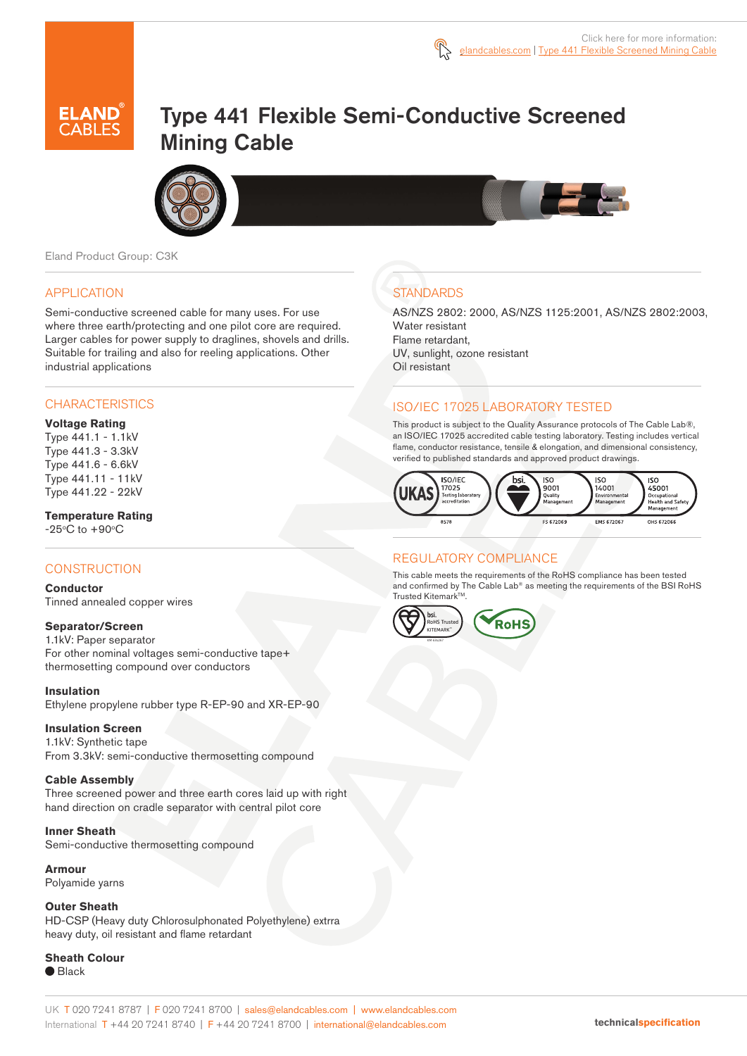

# Type 441 Flexible Semi-Conductive Screened Mining Cable



Eland Product Group: C3K

#### APPLICATION

Semi-conductive screened cable for many uses. For use where three earth/protecting and one pilot core are required. Larger cables for power supply to draglines, shovels and drills. Suitable for trailing and also for reeling applications. Other industrial applications

## **CHARACTERISTICS**

#### **Voltage Rating**

Type 441.1 - 1.1kV Type 441.3 - 3.3kV Type 441.6 - 6.6kV Type 441.11 - 11kV Type 441.22 - 22kV

## **Temperature Rating**

 $-25^{\circ}$ C to  $+90^{\circ}$ C

## **CONSTRUCTION**

#### **Conductor**

Tinned annealed copper wires

#### **Separator/Screen**

1.1kV: Paper separator For other nominal voltages semi-conductive tape+ thermosetting compound over conductors

#### **Insulation**

Ethylene propylene rubber type R-EP-90 and XR-EP-90

#### **Insulation Screen**

1.1kV: Synthetic tape From 3.3kV: semi-conductive thermosetting compound

#### **Cable Assembly**

Three screened power and three earth cores laid up with right hand direction on cradle separator with central pilot core

#### **Inner Sheath**

Semi-conductive thermosetting compound

#### **Armour**

Polyamide yarns

**Outer Sheath**  HD-CSP (Heavy duty Chlorosulphonated Polyethylene) extrra heavy duty, oil resistant and flame retardant

## **Sheath Colour**

● Black

## **STANDARDS**

AS/NZS 2802: 2000, AS/NZS 1125:2001, AS/NZS 2802:2003, Water resistant Flame retardant,

UV, sunlight, ozone resistant Oil resistant

### ISO/IEC 17025 LABORATORY TESTED

This product is subject to the Quality Assurance protocols of The Cable Lab®, an ISO/IEC 17025 accredited cable testing laboratory. Testing includes vertical flame, conductor resistance, tensile & elongation, and dimensional consistency, verified to published standards and approved product drawings.



## REGULATORY COMPLIANCE

This cable meets the requirements of the RoHS compliance has been tested and confirmed by The Cable Lab® as meeting the requirements of the BSI RoHS Trusted Kitemark™.

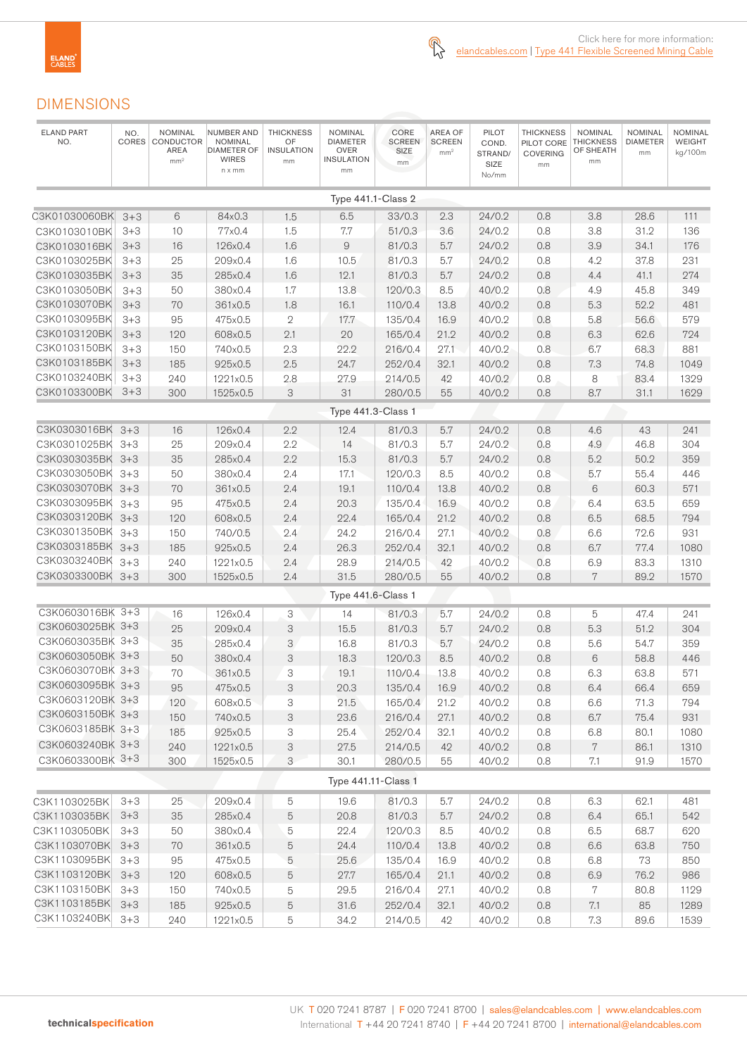## DIMENSIONS

| <b>ELAND PART</b><br>NO. | NO.<br>CORES | <b>NOMINAL</b><br>CONDUCTOR<br>AREA<br>mm <sup>2</sup> | NUMBER AND<br><b>NOMINAL</b><br><b>DIAMETER OF</b><br><b>WIRES</b><br>n x mm | <b>THICKNESS</b><br>OF<br><b>INSULATION</b><br>mm | <b>NOMINAL</b><br><b>DIAMETER</b><br><b>OVER</b><br><b>INSULATION</b><br>mm | CORE<br><b>SCREEN</b><br>SIZE<br>mm | <b>AREA OF</b><br><b>SCREEN</b><br>mm <sup>2</sup> | <b>PILOT</b><br>COND.<br>STRAND/<br>SIZE<br>No/mm | <b>THICKNESS</b><br>PILOT CORE<br><b>COVERING</b><br>mm | <b>NOMINAL</b><br><b>THICKNESS</b><br>OF SHEATH<br>mm | <b>NOMINAL</b><br><b>DIAMETER</b><br>mm | NOMINAL<br>WEIGHT<br>kg/100m |
|--------------------------|--------------|--------------------------------------------------------|------------------------------------------------------------------------------|---------------------------------------------------|-----------------------------------------------------------------------------|-------------------------------------|----------------------------------------------------|---------------------------------------------------|---------------------------------------------------------|-------------------------------------------------------|-----------------------------------------|------------------------------|
|                          |              |                                                        |                                                                              |                                                   | Type 441.1-Class 2                                                          |                                     |                                                    |                                                   |                                                         |                                                       |                                         |                              |
| C3K01030060BK 3+3        |              | 6                                                      | 84x0.3                                                                       | 1.5                                               | 6.5                                                                         | 33/0.3                              | 2.3                                                | 24/0.2                                            | 0.8                                                     | 3.8                                                   | 28.6                                    | 111                          |
| C3K0103010BK             | $3 + 3$      | 10                                                     | 77x0.4                                                                       | 1.5                                               | 7.7                                                                         | 51/0.3                              | 3.6                                                | 24/0.2                                            | 0.8                                                     | 3.8                                                   | 31.2                                    | 136                          |
| C3K0103016BK             | $3 + 3$      | 16                                                     | 126x0.4                                                                      | 1.6                                               | $\mathcal{G}% _{0}$                                                         | 81/0.3                              | 5.7                                                | 24/0.2                                            | 0.8                                                     | 3.9                                                   | 34.1                                    | 176                          |
| C3K0103025BK             | $3 + 3$      | 25                                                     | 209x0.4                                                                      | 1.6                                               | 10.5                                                                        | 81/0.3                              | $5.7\,$                                            | 24/0.2                                            | 0.8                                                     | 4.2                                                   | 37.8                                    | 231                          |
| C3K0103035BK             | $3 + 3$      | 35                                                     | 285x0.4                                                                      | 1.6                                               | 12.1                                                                        | 81/0.3                              | 5.7                                                | 24/0.2                                            | 0.8                                                     | 4.4                                                   | 41.1                                    | 274                          |
| C3K0103050BK             | $3 + 3$      | 50                                                     | 380x0.4                                                                      | 1.7                                               | 13.8                                                                        | 120/0.3                             | 8.5                                                | 40/0.2                                            | 0.8                                                     | 4.9                                                   | 45.8                                    | 349                          |
| C3K0103070BK             | $3 + 3$      | 70                                                     | 361x0.5                                                                      | 1.8                                               | 16.1                                                                        | 110/0.4                             | 13.8                                               | 40/0.2                                            | 0.8                                                     | 5.3                                                   | 52.2                                    | 481                          |
| C3K0103095BK             | $3 + 3$      | 95                                                     | 475x0.5                                                                      | $\mathbf{2}$                                      | 17.7                                                                        | 135/0.4                             | 16.9                                               | 40/0.2                                            | 0.8                                                     | 5.8                                                   | 56.6                                    | 579                          |
| C3K0103120BK             | $3 + 3$      | 120                                                    | 608x0.5                                                                      | 2.1                                               | 20                                                                          | 165/0.4                             | 21.2                                               | 40/0.2                                            | 0.8                                                     | 6.3                                                   | 62.6                                    | 724                          |
| C3K0103150BK             | $3 + 3$      | 150                                                    | 740x0.5                                                                      | 2.3                                               | 22.2                                                                        | 216/0.4                             | 27.1                                               | 40/0.2                                            | 0.8                                                     | 6.7                                                   | 68.3                                    | 881                          |
| C3K0103185BK             | $3 + 3$      | 185                                                    | 925x0.5                                                                      | 2.5                                               | 24.7                                                                        | 252/0.4                             | 32.1                                               | 40/0.2                                            | 0.8                                                     | 7.3                                                   | 74.8                                    | 1049                         |
| C3K0103240BK             | $3 + 3$      | 240                                                    | 1221x0.5                                                                     | 2.8                                               | 27.9                                                                        | 214/0.5                             | 42                                                 | 40/0.2                                            | 0.8                                                     | 8                                                     | 83.4                                    | 1329                         |
| C3K0103300BK             | $3+3$        | 300                                                    | 1525x0.5                                                                     | 3                                                 | 31                                                                          | 280/0.5                             | 55                                                 | 40/0.2                                            | 0.8                                                     | 8.7                                                   | 31.1                                    | 1629                         |
| Type 441.3-Class 1       |              |                                                        |                                                                              |                                                   |                                                                             |                                     |                                                    |                                                   |                                                         |                                                       |                                         |                              |
| C3K0303016BK             | $3 + 3$      | 16                                                     | 126x0.4                                                                      | 2.2                                               | 12.4                                                                        | 81/0.3                              | 5.7                                                | 24/0.2                                            | 0.8                                                     | 4.6                                                   | 43                                      | 241                          |
| C3K0301025BK 3+3         |              | 25                                                     | 209x0.4                                                                      | 2.2                                               | 14                                                                          | 81/0.3                              | 5.7                                                | 24/0.2                                            | 0.8                                                     | 4.9                                                   | 46.8                                    | 304                          |
| C3K0303035BK 3+3         |              | 35                                                     | 285x0.4                                                                      | 2.2                                               | 15.3                                                                        | 81/0.3                              | $5.7\,$                                            | 24/0.2                                            | 0.8                                                     | 5.2                                                   | 50.2                                    | 359                          |
| C3K0303050BK 3+3         |              | 50                                                     | 380x0.4                                                                      | 2.4                                               | 17.1                                                                        | 120/0.3                             | 8.5                                                | 40/0.2                                            | 0.8                                                     | 5.7                                                   | 55.4                                    | 446                          |
| C3K0303070BK 3+3         |              | 70                                                     | 361x0.5                                                                      | 2.4                                               | 19.1                                                                        | 110/0.4                             | 13.8                                               | 40/0.2                                            | 0.8                                                     | 6                                                     | 60.3                                    | 571                          |
| C3K0303095BK             | $3+3$        | 95                                                     | 475x0.5                                                                      | 2.4                                               | 20.3                                                                        | 135/0.4                             | 16.9                                               | 40/0.2                                            | 0.8                                                     | 6.4                                                   | 63.5                                    | 659                          |
| C3K0303120BK 3+3         |              | 120                                                    | 608x0.5                                                                      | 2.4                                               | 22.4                                                                        | 165/0.4                             | 21.2                                               | 40/0.2                                            | 0.8                                                     | 6.5                                                   | 68.5                                    | 794                          |
| C3K0301350BK             | $3 + 3$      | 150                                                    | 740/0.5                                                                      | 2.4                                               | 24.2                                                                        | 216/0.4                             | 27.1                                               | 40/0.2                                            | 0.8                                                     | 6.6                                                   | 72.6                                    | 931                          |
| C3K0303185BK             | $3+3$        | 185                                                    | 925x0.5                                                                      | 2.4                                               | 26.3                                                                        | 252/0.4                             | 32.1                                               | 40/0.2                                            | 0.8                                                     | 6.7                                                   | 77.4                                    | 1080                         |
| C3K0303240BK             | $3+3$        | 240                                                    | 1221x0.5                                                                     | 2.4                                               | 28.9                                                                        | 214/0.5                             | 42                                                 | 40/0.2                                            | 0.8                                                     | 6.9                                                   | 83.3                                    | 1310                         |
| C3K0303300BK 3+3         |              | 300                                                    | 1525x0.5                                                                     | 2.4                                               | 31.5                                                                        | 280/0.5                             | 55                                                 | 40/0.2                                            | 0.8                                                     | 7                                                     | 89.2                                    | 1570                         |
|                          |              |                                                        |                                                                              |                                                   | Type 441.6-Class 1                                                          |                                     |                                                    |                                                   |                                                         |                                                       |                                         |                              |
| C3K0603016BK 3+3         |              | 16                                                     | 126x0.4                                                                      | 3                                                 | 14                                                                          | 81/0.3                              | 5.7                                                | 24/0.2                                            | 0.8                                                     | 5                                                     | 47.4                                    | 241                          |
| C3K0603025BK 3+3         |              | 25                                                     | 209x0.4                                                                      | 3                                                 | 15.5                                                                        | 81/0.3                              | 5.7                                                | 24/0.2                                            | 0.8                                                     | 5.3                                                   | 51.2                                    | 304                          |
| C3K0603035BK 3+3         |              | 35                                                     | 285x0.4                                                                      | 3                                                 | 16.8                                                                        | 81/0.3                              | 5.7                                                | 24/0.2                                            | 0.8                                                     | 5.6                                                   | 54.7                                    | 359                          |
| C3K0603050BK 3+3         |              | 50                                                     | 380x0.4                                                                      | $\ensuremath{\mathsf{3}}$                         | 18.3                                                                        | 120/0.3                             | 8.5                                                | 40/0.2                                            | 0.8                                                     | 6                                                     | 58.8                                    | 446                          |
| C3K0603070BK 3+3         |              | 70                                                     | 361x0.5                                                                      | 3                                                 | 19.1                                                                        | 110/0.4                             | 13.8                                               | 40/0.2                                            | 0.8                                                     | 6.3                                                   | 63.8                                    | 571                          |
| C3K0603095BK 3+3         |              | 95                                                     | 475x0.5                                                                      | 3                                                 | 20.3                                                                        | 135/0.4                             | 16.9                                               | 40/0.2                                            | 0.8                                                     | 6.4                                                   | 66.4                                    | 659                          |
| C3K0603120BK 3+3         |              | 120                                                    | 608x0.5                                                                      | 3                                                 | 21.5                                                                        | 165/0.4                             | 21.2                                               | 40/0.2                                            | 0.8                                                     | 6.6                                                   | 71.3                                    | 794                          |
| C3K0603150BK 3+3         |              | 150                                                    | 740x0.5                                                                      | $\ensuremath{\mathsf{3}}$                         | 23.6                                                                        | 216/0.4                             | 27.1                                               | 40/0.2                                            | 0.8                                                     | 6.7                                                   | 75.4                                    | 931                          |
| C3K0603185BK 3+3         |              | 185                                                    | 925x0.5                                                                      | 3                                                 | 25.4                                                                        | 252/0.4                             | 32.1                                               | 40/0.2                                            | 0.8                                                     | 6.8                                                   | 80.1                                    | 1080                         |
| C3K0603240BK 3+3         |              | 240                                                    | 1221x0.5                                                                     | $\ensuremath{\mathsf{3}}$                         | 27.5                                                                        | 214/0.5                             | 42                                                 | 40/0.2                                            | 0.8                                                     | 7                                                     | 86.1                                    | 1310                         |
| C3K0603300BK 3+3         |              | 300                                                    | 1525x0.5                                                                     | 3                                                 | 30.1                                                                        | 280/0.5                             | 55                                                 | 40/0.2                                            | 0.8                                                     | 7.1                                                   | 91.9                                    | 1570                         |
|                          |              |                                                        |                                                                              |                                                   | <b>Type 441.11-Class 1</b>                                                  |                                     |                                                    |                                                   |                                                         |                                                       |                                         |                              |
| C3K1103025BK             | $3 + 3$      | 25                                                     | 209x0.4                                                                      | 5                                                 | 19.6                                                                        | 81/0.3                              | 5.7                                                | 24/0.2                                            | 0.8                                                     | 6.3                                                   | 62.1                                    | 481                          |
| C3K1103035BK             | $3 + 3$      | 35                                                     | 285x0.4                                                                      | 5                                                 | 20.8                                                                        | 81/0.3                              | 5.7                                                | 24/0.2                                            | 0.8                                                     | 6.4                                                   | 65.1                                    | 542                          |
| C3K1103050BK             | $3 + 3$      | 50                                                     | 380x0.4                                                                      | 5                                                 | 22.4                                                                        | 120/0.3                             | 8.5                                                | 40/0.2                                            | 0.8                                                     | 6.5                                                   | 68.7                                    | 620                          |
| C3K1103070BK 3+3         |              | 70                                                     | 361x0.5                                                                      | 5                                                 | 24.4                                                                        | 110/0.4                             | 13.8                                               | 40/0.2                                            | 0.8                                                     | $6.6\,$                                               | 63.8                                    | 750                          |
| C3K1103095BK 3+3         |              | 95                                                     | 475x0.5                                                                      | 5                                                 | 25.6                                                                        | 135/0.4                             | 16.9                                               | 40/0.2                                            | 0.8                                                     | 6.8                                                   | 73                                      | 850                          |
| C3K1103120BK 3+3         |              | 120                                                    | 608x0.5                                                                      | 5                                                 | 27.7                                                                        | 165/0.4                             | 21.1                                               | 40/0.2                                            | 0.8                                                     | 6.9                                                   | 76.2                                    | 986                          |
| C3K1103150BK 3+3         |              | 150                                                    | 740x0.5                                                                      | 5                                                 | 29.5                                                                        | 216/0.4                             | 27.1                                               | 40/0.2                                            | 0.8                                                     | 7                                                     | 80.8                                    | 1129                         |
| C3K1103185BK 3+3         |              | 185                                                    | 925x0.5                                                                      | $\mathbf 5$                                       | 31.6                                                                        | 252/0.4                             | 32.1                                               | 40/0.2                                            | 0.8                                                     | $7.1\,$                                               | 85                                      | 1289                         |
| C3K1103240BK 3+3         |              | 240                                                    | 1221x0.5                                                                     | 5                                                 | 34.2                                                                        | 214/0.5                             | 42                                                 | 40/0.2                                            | 0.8                                                     | 7.3                                                   | 89.6                                    | 1539                         |